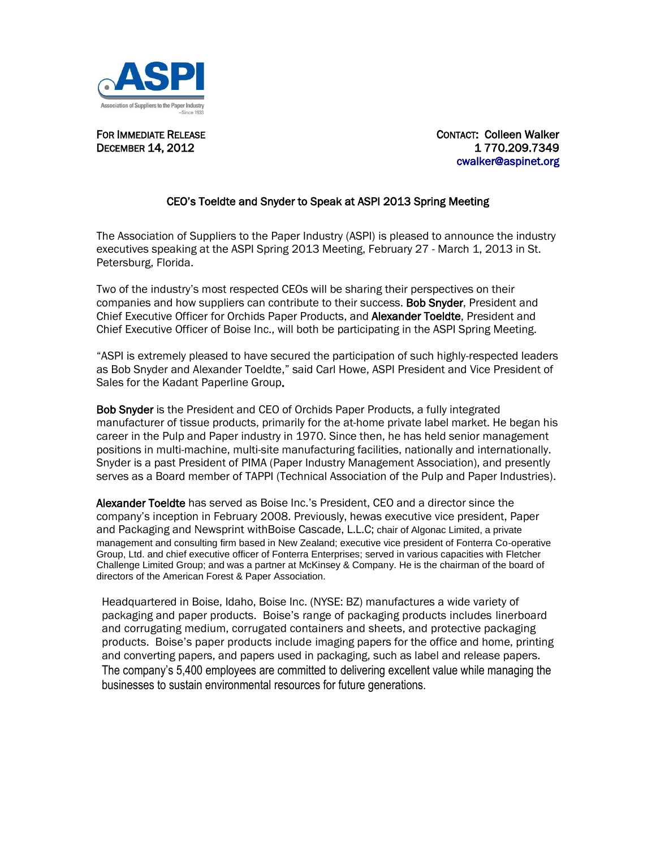

FOR IMMEDIATE RELEASE CONTACT: Colleen Walker **DECEMBER 14, 2012** 1770.209.7349 cwalker@aspinet.org

## CEO's Toeldte and Snyder to Speak at ASPI 2013 Spring Meeting

The Association of Suppliers to the Paper Industry (ASPI) is pleased to announce the industry executives speaking at the ASPI Spring 2013 Meeting, February 27 - March 1, 2013 in St. Petersburg, Florida.

Two of the industry's most respected CEOs will be sharing their perspectives on their companies and how suppliers can contribute to their success. **Bob Snyder**, President and Chief Executive Officer for Orchids Paper Products, and Alexander Toeldte, President and Chief Executive Officer of Boise Inc., will both be participating in the ASPI Spring Meeting.

"ASPI is extremely pleased to have secured the participation of such highly-respected leaders as Bob Snyder and Alexander Toeldte," said Carl Howe, ASPI President and Vice President of Sales for the Kadant Paperline Group.

Bob Snyder is the President and CEO of Orchids Paper Products, a fully integrated manufacturer of tissue products, primarily for the at-home private label market. He began his career in the Pulp and Paper industry in 1970. Since then, he has held senior management positions in multi-machine, multi-site manufacturing facilities, nationally and internationally. Snyder is a past President of PIMA (Paper Industry Management Association), and presently serves as a Board member of TAPPI (Technical Association of the Pulp and Paper Industries).

Alexander Toeldte has served as Boise Inc.'s President, CEO and a director since the company's inception in February 2008. Previously, hewas executive vice president, Paper and Packaging and Newsprint withBoise Cascade, L.L.C; chair of Algonac Limited, a private management and consulting firm based in New Zealand; executive vice president of Fonterra Co-operative Group, Ltd. and chief executive officer of Fonterra Enterprises; served in various capacities with Fletcher Challenge Limited Group; and was a partner at McKinsey & Company. He is the chairman of the board of directors of the American Forest & Paper Association.

Headquartered in Boise, Idaho, Boise Inc. (NYSE: BZ) manufactures a wide variety of packaging and paper products. Boise's range of packaging products includes linerboard and corrugating medium, corrugated containers and sheets, and protective packaging products. Boise's paper products include imaging papers for the office and home, printing and converting papers, and papers used in packaging, such as label and release papers. The company's 5,400 employees are committed to delivering excellent value while managing the businesses to sustain environmental resources for future generations.